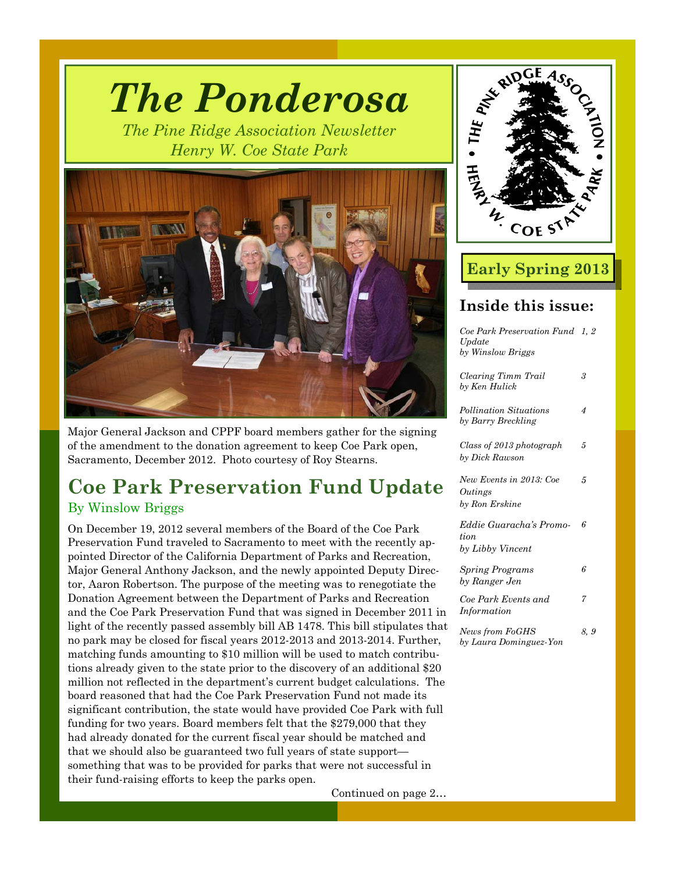

*The Ponderosa* 

Major General Jackson and CPPF board members gather for the signing of the amendment to the donation agreement to keep Coe Park open, Sacramento, December 2012. Photo courtesy of Roy Stearns.

# **Coe Park Preservation Fund Update**  By Winslow Briggs

On December 19, 2012 several members of the Board of the Coe Park Preservation Fund traveled to Sacramento to meet with the recently appointed Director of the California Department of Parks and Recreation, Major General Anthony Jackson, and the newly appointed Deputy Director, Aaron Robertson. The purpose of the meeting was to renegotiate the Donation Agreement between the Department of Parks and Recreation and the Coe Park Preservation Fund that was signed in December 2011 in light of the recently passed assembly bill AB 1478. This bill stipulates that no park may be closed for fiscal years 2012-2013 and 2013-2014. Further, matching funds amounting to \$10 million will be used to match contributions already given to the state prior to the discovery of an additional \$20 million not reflected in the department's current budget calculations. The board reasoned that had the Coe Park Preservation Fund not made its significant contribution, the state would have provided Coe Park with full funding for two years. Board members felt that the \$279,000 that they had already donated for the current fiscal year should be matched and that we should also be guaranteed two full years of state support something that was to be provided for parks that were not successful in their fund-raising efforts to keep the parks open.

Continued on page 2…



# **Early Spring 2013**

# **Inside this issue:**

| Coe Park Preservation Fund 1, 2<br>Update<br>by Winslow Briggs |     |
|----------------------------------------------------------------|-----|
| Clearing Timm Trail<br>by Ken Hulick                           | 3   |
| Pollination Situations<br>by Barry Breckling                   | 4   |
| Class of 2013 photograph<br>by Dick Rawson                     | 5   |
| New Events in 2013: Coe<br>Outings<br>by Ron Erskine           | 5   |
| Eddie Guaracha's Promo-<br>tion<br>by Libby Vincent            | 6   |
| <b>Spring Programs</b><br>by Ranger Jen                        | 6   |
| Coe Park Events and<br>Information                             | 7   |
| News from FoGHS<br>by Laura Dominguez-Yon                      | 8.9 |
|                                                                |     |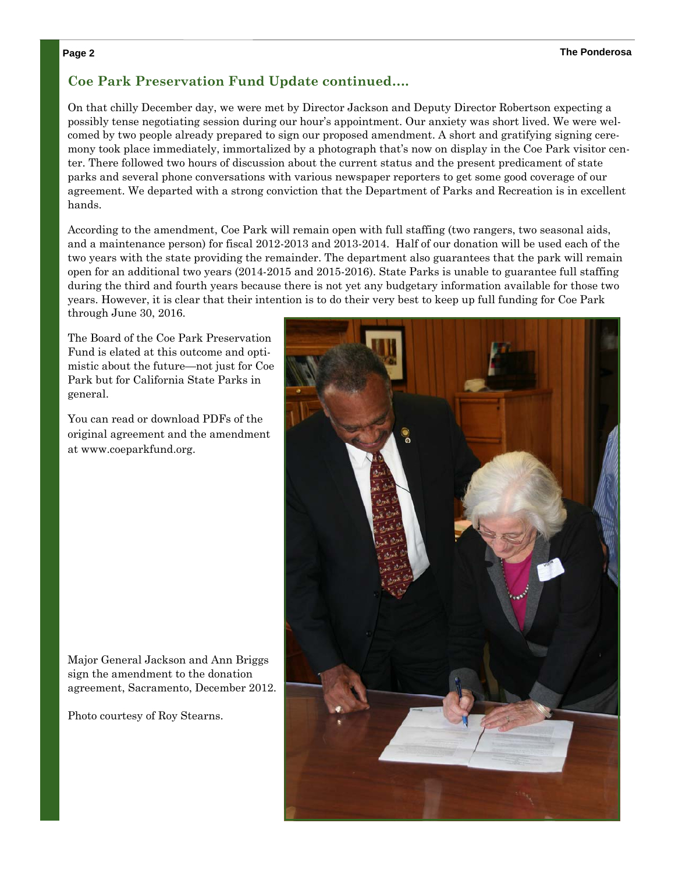### **Coe Park Preservation Fund Update continued….**

On that chilly December day, we were met by Director Jackson and Deputy Director Robertson expecting a possibly tense negotiating session during our hour's appointment. Our anxiety was short lived. We were welcomed by two people already prepared to sign our proposed amendment. A short and gratifying signing ceremony took place immediately, immortalized by a photograph that's now on display in the Coe Park visitor center. There followed two hours of discussion about the current status and the present predicament of state parks and several phone conversations with various newspaper reporters to get some good coverage of our agreement. We departed with a strong conviction that the Department of Parks and Recreation is in excellent hands.

According to the amendment, Coe Park will remain open with full staffing (two rangers, two seasonal aids, and a maintenance person) for fiscal 2012-2013 and 2013-2014. Half of our donation will be used each of the two years with the state providing the remainder. The department also guarantees that the park will remain open for an additional two years (2014-2015 and 2015-2016). State Parks is unable to guarantee full staffing during the third and fourth years because there is not yet any budgetary information available for those two years. However, it is clear that their intention is to do their very best to keep up full funding for Coe Park through June 30, 2016.

The Board of the Coe Park Preservation Fund is elated at this outcome and optimistic about the future—not just for Coe Park but for California State Parks in general.

You can read or download PDFs of the original agreement and the amendment at www.coeparkfund.org.

Major General Jackson and Ann Briggs sign the amendment to the donation agreement, Sacramento, December 2012.

Photo courtesy of Roy Stearns.

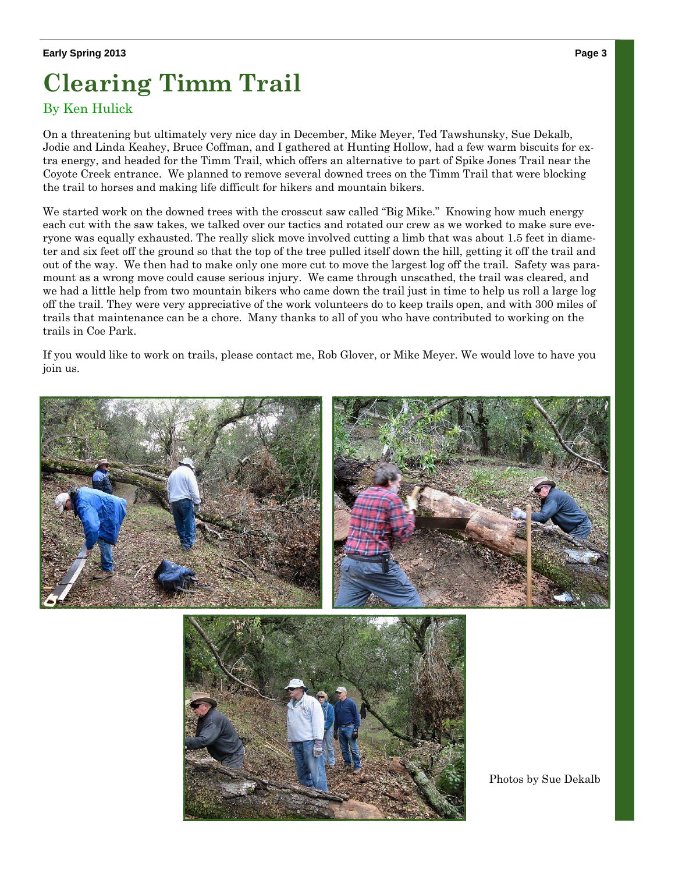# **Clearing Timm Trail**

## By Ken Hulick

On a threatening but ultimately very nice day in December, Mike Meyer, Ted Tawshunsky, Sue Dekalb, Jodie and Linda Keahey, Bruce Coffman, and I gathered at Hunting Hollow, had a few warm biscuits for extra energy, and headed for the Timm Trail, which offers an alternative to part of Spike Jones Trail near the Coyote Creek entrance. We planned to remove several downed trees on the Timm Trail that were blocking the trail to horses and making life difficult for hikers and mountain bikers.

We started work on the downed trees with the crosscut saw called "Big Mike." Knowing how much energy each cut with the saw takes, we talked over our tactics and rotated our crew as we worked to make sure everyone was equally exhausted. The really slick move involved cutting a limb that was about 1.5 feet in diameter and six feet off the ground so that the top of the tree pulled itself down the hill, getting it off the trail and out of the way. We then had to make only one more cut to move the largest log off the trail. Safety was paramount as a wrong move could cause serious injury. We came through unscathed, the trail was cleared, and we had a little help from two mountain bikers who came down the trail just in time to help us roll a large log off the trail. They were very appreciative of the work volunteers do to keep trails open, and with 300 miles of trails that maintenance can be a chore. Many thanks to all of you who have contributed to working on the trails in Coe Park.

If you would like to work on trails, please contact me, Rob Glover, or Mike Meyer. We would love to have you join us.





Photos by Sue Dekalb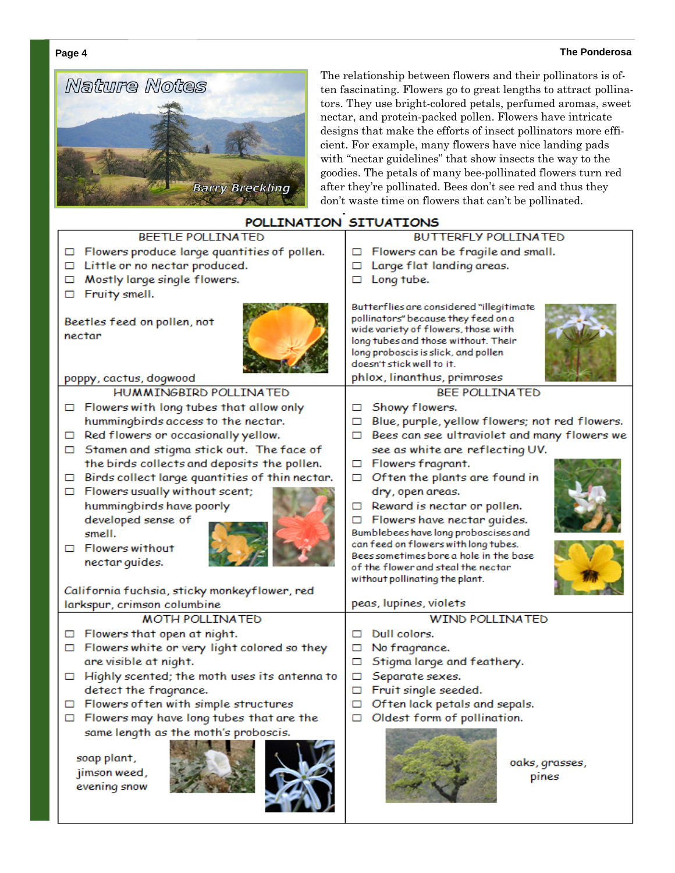#### **Page 4 The Ponderosa**



The relationship between flowers and their pollinators is often fascinating. Flowers go to great lengths to attract pollinators. They use bright-colored petals, perfumed aromas, sweet nectar, and protein-packed pollen. Flowers have intricate designs that make the efforts of insect pollinators more efficient. For example, many flowers have nice landing pads with "nectar guidelines" that show insects the way to the goodies. The petals of many bee-pollinated flowers turn red after they're pollinated. Bees don't see red and thus they don't waste time on flowers that can't be pollinated.

| PULLINA I LUN SI I VA I LUNS                                                        |                                                                                                                                                                                                                                                                  |  |
|-------------------------------------------------------------------------------------|------------------------------------------------------------------------------------------------------------------------------------------------------------------------------------------------------------------------------------------------------------------|--|
| BEETLE POLLINATED                                                                   | <b>BUTTERFLY POLLINATED</b>                                                                                                                                                                                                                                      |  |
| $\Box$ Flowers produce large quantities of pollen.                                  | Flowers can be fragile and small.                                                                                                                                                                                                                                |  |
| □ Little or no nectar produced.                                                     | Large flat landing areas.<br>◻                                                                                                                                                                                                                                   |  |
| Mostly large single flowers.<br>◻                                                   | Long tube.<br>◻                                                                                                                                                                                                                                                  |  |
| Fruity smell.<br>□                                                                  |                                                                                                                                                                                                                                                                  |  |
| Beetles feed on pollen, not<br>nectar<br>poppy, cactus, dogwood                     | Butterflies are considered "illegitimate<br>pollinators" because they feed on a<br>wide variety of flowers, those with<br>long tubes and those without. Their<br>long proboscis is slick, and pollen<br>doesn't stick well to it.<br>phlox, linanthus, primroses |  |
| HUMMINGBIRD POLLINATED                                                              | <b>BEE POLLINATED</b>                                                                                                                                                                                                                                            |  |
| $\Box$ Flowers with long tubes that allow only                                      | Showy flowers.                                                                                                                                                                                                                                                   |  |
| hummingbirds access to the nectar.                                                  | Blue, purple, yellow flowers; not red flowers.                                                                                                                                                                                                                   |  |
| Red flowers or occasionally yellow.<br>□                                            | Bees can see ultraviolet and many flowers we<br>□                                                                                                                                                                                                                |  |
| □ Stamen and stigma stick out. The face of                                          | see as white are reflecting UV.                                                                                                                                                                                                                                  |  |
| the birds collects and deposits the pollen.                                         | Flowers fragrant.<br>□                                                                                                                                                                                                                                           |  |
| Birds collect large quantities of thin nectar.                                      | Often the plants are found in<br>□                                                                                                                                                                                                                               |  |
| $\Box$ Flowers usually without scent;                                               | dry, open areas.                                                                                                                                                                                                                                                 |  |
| hummingbirds have poorly                                                            | Reward is nectar or pollen.<br>□                                                                                                                                                                                                                                 |  |
| developed sense of                                                                  | $\Box$ Flowers have nectar quides.                                                                                                                                                                                                                               |  |
| smell.                                                                              | Bumblebees have long proboscises and                                                                                                                                                                                                                             |  |
| $\Box$ Flowers without                                                              | can feed on flowers with long tubes.<br>Bees sometimes bore a hole in the base                                                                                                                                                                                   |  |
| nectar guides.                                                                      | of the flower and steal the nectar                                                                                                                                                                                                                               |  |
|                                                                                     | without pollinating the plant.                                                                                                                                                                                                                                   |  |
| California fuchsia, sticky monkeyflower, red                                        |                                                                                                                                                                                                                                                                  |  |
| larkspur, crimson columbine                                                         | peas, lupines, violets                                                                                                                                                                                                                                           |  |
| <b>MOTH POLLINATED</b>                                                              | <b>WIND POLLINATED</b>                                                                                                                                                                                                                                           |  |
| Flowers that open at night.<br>□                                                    | Dull colors.<br>□                                                                                                                                                                                                                                                |  |
| $\Box$ Flowers white or very light colored so they                                  | No fragrance.<br>□                                                                                                                                                                                                                                               |  |
| are visible at night.                                                               | Stigma large and feathery.<br>◻                                                                                                                                                                                                                                  |  |
| Highly scented; the moth uses its antenna to                                        | Separate sexes.<br>◻                                                                                                                                                                                                                                             |  |
| detect the fragrance.                                                               | Fruit single seeded.<br>□                                                                                                                                                                                                                                        |  |
| $\Box$ Flowers of ten with simple structures                                        | Often lack petals and sepals.<br>Oldest form of pollination.                                                                                                                                                                                                     |  |
| $\Box$ Flowers may have long tubes that are the                                     |                                                                                                                                                                                                                                                                  |  |
| same length as the moth's proboscis.<br>soap plant,<br>jimson weed,<br>evening snow | oaks, grasses,<br>pines                                                                                                                                                                                                                                          |  |

# **CTTUATTONIC**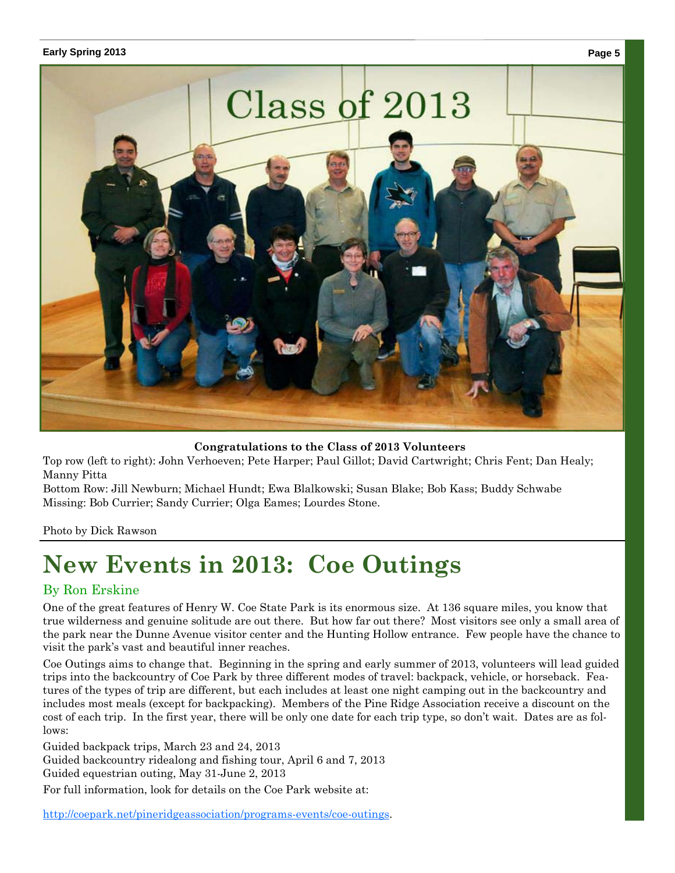#### **Early Spring 2013 Page 5**



**Congratulations to the Class of 2013 Volunteers** 

Top row (left to right): John Verhoeven; Pete Harper; Paul Gillot; David Cartwright; Chris Fent; Dan Healy; Manny Pitta

Bottom Row: Jill Newburn; Michael Hundt; Ewa Blalkowski; Susan Blake; Bob Kass; Buddy Schwabe Missing: Bob Currier; Sandy Currier; Olga Eames; Lourdes Stone.

Photo by Dick Rawson

# **New Events in 2013: Coe Outings**

#### By Ron Erskine

One of the great features of Henry W. Coe State Park is its enormous size. At 136 square miles, you know that true wilderness and genuine solitude are out there. But how far out there? Most visitors see only a small area of the park near the Dunne Avenue visitor center and the Hunting Hollow entrance. Few people have the chance to visit the park's vast and beautiful inner reaches.

Coe Outings aims to change that. Beginning in the spring and early summer of 2013, volunteers will lead guided trips into the backcountry of Coe Park by three different modes of travel: backpack, vehicle, or horseback. Features of the types of trip are different, but each includes at least one night camping out in the backcountry and includes most meals (except for backpacking). Members of the Pine Ridge Association receive a discount on the cost of each trip. In the first year, there will be only one date for each trip type, so don't wait. Dates are as follows:

Guided backpack trips, March 23 and 24, 2013

Guided backcountry ridealong and fishing tour, April 6 and 7, 2013

Guided equestrian outing, May 31-June 2, 2013

For full information, look for details on the Coe Park website at:

http://coepark.net/pineridgeassociation/programs-events/coe-outings.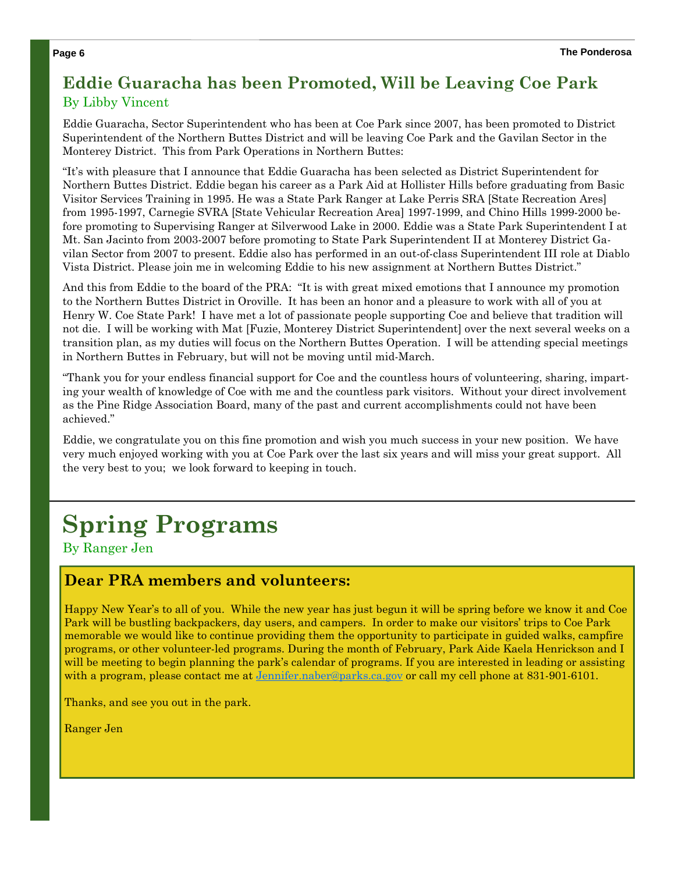# **Eddie Guaracha has been Promoted, Will be Leaving Coe Park**  By Libby Vincent

Eddie Guaracha, Sector Superintendent who has been at Coe Park since 2007, has been promoted to District Superintendent of the Northern Buttes District and will be leaving Coe Park and the Gavilan Sector in the Monterey District. This from Park Operations in Northern Buttes:

"It's with pleasure that I announce that Eddie Guaracha has been selected as District Superintendent for Northern Buttes District. Eddie began his career as a Park Aid at Hollister Hills before graduating from Basic Visitor Services Training in 1995. He was a State Park Ranger at Lake Perris SRA [State Recreation Ares] from 1995-1997, Carnegie SVRA [State Vehicular Recreation Area] 1997-1999, and Chino Hills 1999-2000 before promoting to Supervising Ranger at Silverwood Lake in 2000. Eddie was a State Park Superintendent I at Mt. San Jacinto from 2003-2007 before promoting to State Park Superintendent II at Monterey District Gavilan Sector from 2007 to present. Eddie also has performed in an out-of-class Superintendent III role at Diablo Vista District. Please join me in welcoming Eddie to his new assignment at Northern Buttes District."

And this from Eddie to the board of the PRA: "It is with great mixed emotions that I announce my promotion to the Northern Buttes District in Oroville. It has been an honor and a pleasure to work with all of you at Henry W. Coe State Park! I have met a lot of passionate people supporting Coe and believe that tradition will not die. I will be working with Mat [Fuzie, Monterey District Superintendent] over the next several weeks on a transition plan, as my duties will focus on the Northern Buttes Operation. I will be attending special meetings in Northern Buttes in February, but will not be moving until mid-March.

"Thank you for your endless financial support for Coe and the countless hours of volunteering, sharing, imparting your wealth of knowledge of Coe with me and the countless park visitors. Without your direct involvement as the Pine Ridge Association Board, many of the past and current accomplishments could not have been achieved."

Eddie, we congratulate you on this fine promotion and wish you much success in your new position. We have very much enjoyed working with you at Coe Park over the last six years and will miss your great support. All the very best to you; we look forward to keeping in touch.

# **Spring Programs**

By Ranger Jen

## **Dear PRA members and volunteers:**

Happy New Year's to all of you. While the new year has just begun it will be spring before we know it and Coe Park will be bustling backpackers, day users, and campers. In order to make our visitors' trips to Coe Park memorable we would like to continue providing them the opportunity to participate in guided walks, campfire programs, or other volunteer-led programs. During the month of February, Park Aide Kaela Henrickson and I will be meeting to begin planning the park's calendar of programs. If you are interested in leading or assisting with a program, please contact me at <u>Jennifer.naber@parks.ca.gov</u> or call my cell phone at 831-901-6101.

Thanks, and see you out in the park.

Ranger Jen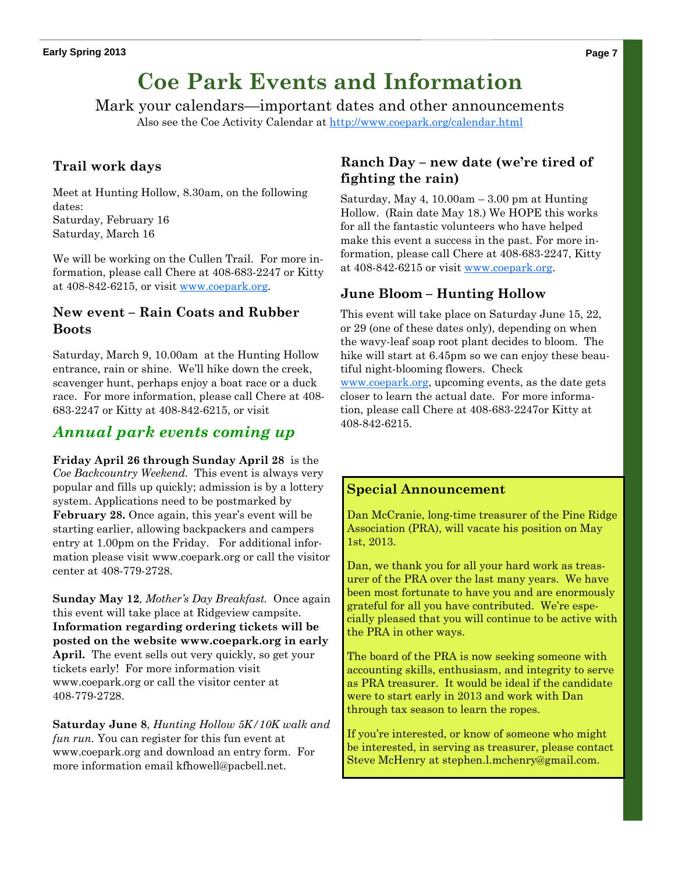# **Coe Park Events and Information**

Mark your calendars—important dates and other announcements Also see the Coe Activity Calendar at http://www.coepark.org/calendar.html

## **Trail work days**

Meet at Hunting Hollow, 8.30am, on the following dates: Saturday, February 16

Saturday, March 16

We will be working on the Cullen Trail. For more information, please call Chere at 408-683-2247 or Kitty at 408-842-6215, or visit www.coepark.org.

#### **New event – Rain Coats and Rubber Boots**

Saturday, March 9, 10.00am at the Hunting Hollow entrance, rain or shine. We'll hike down the creek, scavenger hunt, perhaps enjoy a boat race or a duck race. For more information, please call Chere at 408- 683-2247 or Kitty at 408-842-6215, or visit

## *Annual park events coming up*

**Friday April 26 through Sunday April 28** is the *Coe Backcountry Weekend.* This event is always very popular and fills up quickly; admission is by a lottery system. Applications need to be postmarked by February 28. Once again, this year's event will be starting earlier, allowing backpackers and campers entry at 1.00pm on the Friday. For additional information please visit www.coepark.org or call the visitor center at 408-779-2728.

**Sunday May 12***, Mother's Day Breakfast.* Once again this event will take place at Ridgeview campsite. **Information regarding ordering tickets will be posted on the website www.coepark.org in early April.** The event sells out very quickly, so get your tickets early! For more information visit www.coepark.org or call the visitor center at 408-779-2728.

**Saturday June 8**, *Hunting Hollow 5K/10K walk and fun run.* You can register for this fun event at www.coepark.org and download an entry form. For more information email kfhowell@pacbell.net.

### **Ranch Day – new date (we're tired of fighting the rain)**

Saturday, May 4,  $10.00am - 3.00$  pm at Hunting Hollow. (Rain date May 18.) We HOPE this works for all the fantastic volunteers who have helped make this event a success in the past. For more information, please call Chere at 408-683-2247, Kitty at 408-842-6215 or visit www.coepark.org.

### **June Bloom – Hunting Hollow**

This event will take place on Saturday June 15, 22, or 29 (one of these dates only), depending on when the wavy-leaf soap root plant decides to bloom. The hike will start at 6.45pm so we can enjoy these beautiful night-blooming flowers. Check www.coepark.org, upcoming events, as the date gets closer to learn the actual date. For more information, please call Chere at 408-683-2247or Kitty at 408-842-6215.

#### **Special Announcement**

Dan McCranie, long-time treasurer of the Pine Ridge Association (PRA), will vacate his position on May 1st, 2013.

Dan, we thank you for all your hard work as treasurer of the PRA over the last many years. We have been most fortunate to have you and are enormously grateful for all you have contributed. We're especially pleased that you will continue to be active with the PRA in other ways.

The board of the PRA is now seeking someone with accounting skills, enthusiasm, and integrity to serve as PRA treasurer. It would be ideal if the candidate were to start early in 2013 and work with Dan through tax season to learn the ropes.

If you're interested, or know of someone who might be interested, in serving as treasurer, please contact Steve McHenry at stephen.l.mchenry@gmail.com.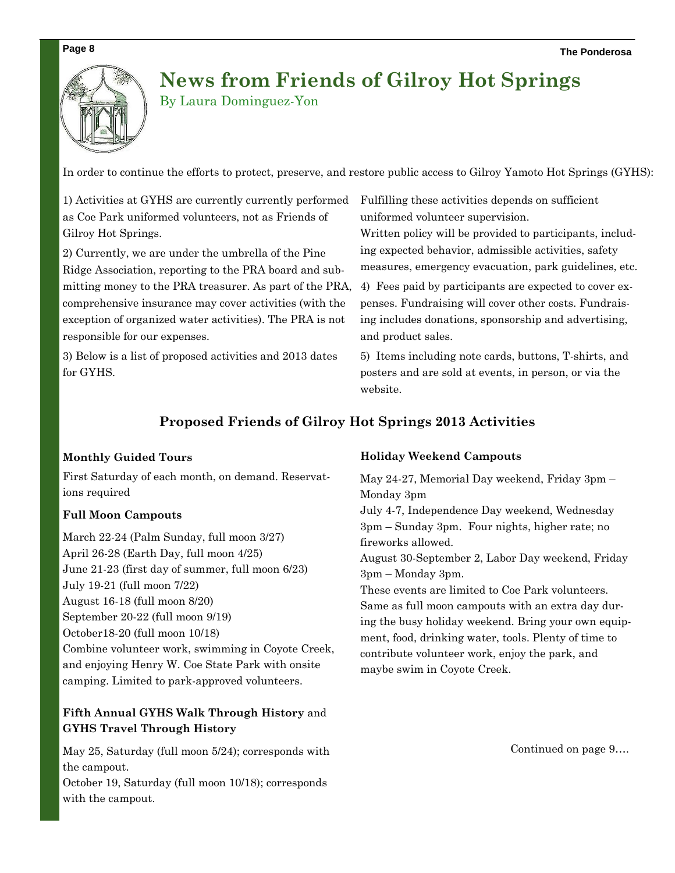# **News from Friends of Gilroy Hot Springs**

By Laura Dominguez-Yon

In order to continue the efforts to protect, preserve, and restore public access to Gilroy Yamoto Hot Springs (GYHS):

1) Activities at GYHS are currently currently performed as Coe Park uniformed volunteers, not as Friends of Gilroy Hot Springs.

2) Currently, we are under the umbrella of the Pine Ridge Association, reporting to the PRA board and submitting money to the PRA treasurer. As part of the PRA, comprehensive insurance may cover activities (with the exception of organized water activities). The PRA is not responsible for our expenses.

3) Below is a list of proposed activities and 2013 dates for GYHS.

Fulfilling these activities depends on sufficient uniformed volunteer supervision.

Written policy will be provided to participants, including expected behavior, admissible activities, safety measures, emergency evacuation, park guidelines, etc.

4) Fees paid by participants are expected to cover expenses. Fundraising will cover other costs. Fundraising includes donations, sponsorship and advertising, and product sales.

5) Items including note cards, buttons, T-shirts, and posters and are sold at events, in person, or via the website.

## **Proposed Friends of Gilroy Hot Springs 2013 Activities**

#### **Monthly Guided Tours**

First Saturday of each month, on demand. Reservations required

#### **Full Moon Campouts**

March 22-24 (Palm Sunday, full moon 3/27) April 26-28 (Earth Day, full moon 4/25) June 21-23 (first day of summer, full moon 6/23) July 19-21 (full moon 7/22) August 16-18 (full moon 8/20) September 20-22 (full moon 9/19) October18-20 (full moon 10/18) Combine volunteer work, swimming in Coyote Creek, and enjoying Henry W. Coe State Park with onsite camping. Limited to park-approved volunteers.

#### **Fifth Annual GYHS Walk Through History** and **GYHS Travel Through History**

May 25, Saturday (full moon 5/24); corresponds with the campout.

October 19, Saturday (full moon 10/18); corresponds with the campout.

#### **Holiday Weekend Campouts**

May 24-27, Memorial Day weekend, Friday 3pm – Monday 3pm

July 4-7, Independence Day weekend, Wednesday 3pm – Sunday 3pm. Four nights, higher rate; no fireworks allowed.

August 30-September 2, Labor Day weekend, Friday 3pm – Monday 3pm.

These events are limited to Coe Park volunteers. Same as full moon campouts with an extra day during the busy holiday weekend. Bring your own equipment, food, drinking water, tools. Plenty of time to contribute volunteer work, enjoy the park, and maybe swim in Coyote Creek.

Continued on page 9….

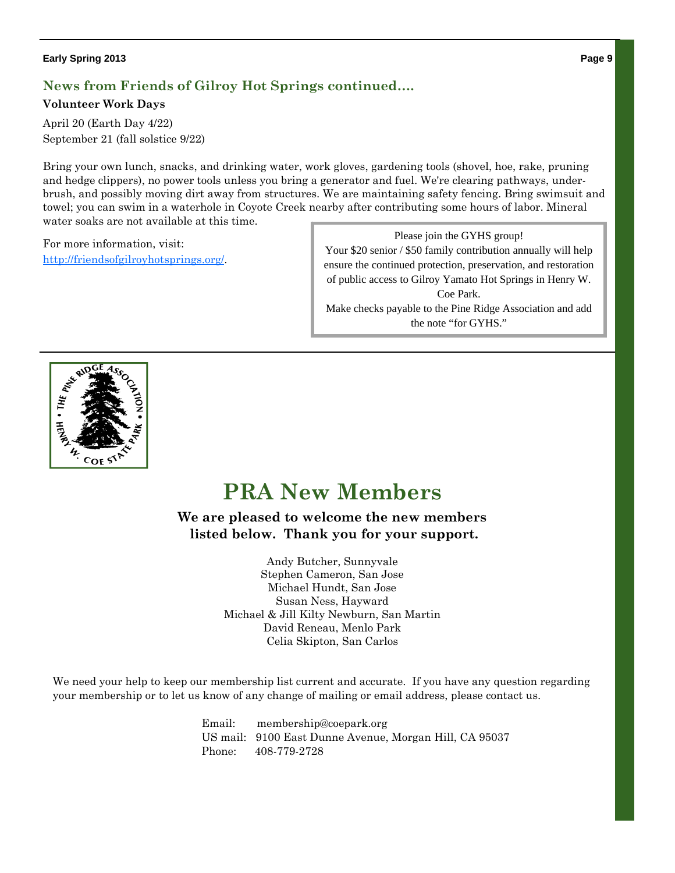#### **Early Spring 2013 Page 9**

## **News from Friends of Gilroy Hot Springs continued….**

#### **Volunteer Work Days**

April 20 (Earth Day 4/22) September 21 (fall solstice 9/22)

Bring your own lunch, snacks, and drinking water, work gloves, gardening tools (shovel, hoe, rake, pruning and hedge clippers), no power tools unless you bring a generator and fuel. We're clearing pathways, underbrush, and possibly moving dirt away from structures. We are maintaining safety fencing. Bring swimsuit and towel; you can swim in a waterhole in Coyote Creek nearby after contributing some hours of labor. Mineral water soaks are not available at this time.

For more information, visit: http://friendsofgilroyhotsprings.org/.

Please join the GYHS group! Your \$20 senior / \$50 family contribution annually will help ensure the continued protection, preservation, and restoration of public access to Gilroy Yamato Hot Springs in Henry W. Coe Park. Make checks payable to the Pine Ridge Association and add the note "for GYHS."



# **PRA New Members**

**We are pleased to welcome the new members listed below. Thank you for your support.** 

> Andy Butcher, Sunnyvale Stephen Cameron, San Jose Michael Hundt, San Jose Susan Ness, Hayward Michael & Jill Kilty Newburn, San Martin David Reneau, Menlo Park Celia Skipton, San Carlos

We need your help to keep our membership list current and accurate. If you have any question regarding your membership or to let us know of any change of mailing or email address, please contact us.

> Email: membership@coepark.org US mail: 9100 East Dunne Avenue, Morgan Hill, CA 95037 Phone: 408-779-2728